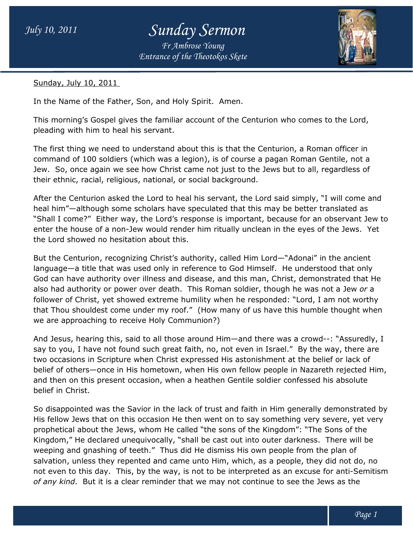## *July 10, 2011 Sunday Sermon*

*Entrance of the Theotokos Skete Fr Ambrose Young*



Sunday, July 10, 2011

In the Name of the Father, Son, and Holy Spirit. Amen.

This morning's Gospel gives the familiar account of the Centurion who comes to the Lord, pleading with him to heal his servant.

The first thing we need to understand about this is that the Centurion, a Roman officer in This morning's Gospel gives the familiar account of the Centurion who comes to the Lord,<br>pleading with him to heal his servant.<br>The first thing we need to understand about this is that the Centurion, a Roman officer in<br>com Jew. So, once again we see how Christ came not just to the Jews but to all, regardless of Jew. So, once again we see how Christ came not just to the<br>their ethnic, racial, religious, national, or social background.

After the Centurion asked the Lord to heal his servant, the Lord said simply, "I will come and heal him"—although some scholars have speculated that this may be better translated as After the Centurion asked the Lord to heal his servant, the Lord said simply, "I will come and<br>heal him"—although some scholars have speculated that this may be better translated as<br>"Shall I come?" Either way, the Lord's r enter the house of a non-Jew would render him ritually unclean in the eyes of the Jews. Yet the Lord showed no hesitation about this. enter the house of a non-Jew would render him ritually unclean in the eyes of the Jews. Ye<br>the Lord showed no hesitation about this.<br>But the Centurion, recognizing Christ's authority, called Him Lord—"Adonai" in the ancien

But the Centurion, recognizing Christ's authority, called Him Lord—"Adonai" in the ancient<br>language—a title that was used only in reference to God Himself. He understood that only God can have authority over illness and disease, and this man, Christ, demonstrated that H He God can have authority over illness and disease, and this man, Christ, demonstrated that H<br>also had authority or power over death. This Roman soldier, though he was not a Jew *or* a follower of Christ, yet showed extreme humility when he responded: "Lord, I am not worthy follower of Christ, yet showed extreme humility when he responded: "Lord, I am not worthy<br>that Thou shouldest come under my roof." (How many of us have this humble thought when we are approaching to receive Holy Communion?)

And Jesus, hearing this, said to all those around Him—and there was a crowd--: "Assuredly, I say to you, I have not found such great faith, no, not even in Israel." By the way, there are two occasions in Scripture when Christ expressed His astonishment at the belief or lack of belief of others—once in His hometown, when His own fellow people in Nazareth rejected Him, and then on this present occasion, when a heathen Gentile soldier confessed his absolute belief in Christ. ccasions in Scripture when Christ expressed His astonishment at the belief or lack of<br>of others—once in His hometown, when His own fellow people in Nazareth rejected Him,<br>nen on this present occasion, when a heathen Gentil e not found such great faith, no, not even in Israel." By the way, there a<br>Scripture when Christ expressed His astonishment at the belief or lack of<br>once in His hometown, when His own fellow people in Nazareth rejected I<br>p

So disappointed was the Savior in the lack of trust and faith in Him generally demonstrated by His fellow Jews that on this occasion He then went on to say something very severe, yet very prophetical about the Jews, whom He called "the sons of the Kingdom": "The Sons of the prophetical about the Jews, whom He called "the sons of the Kingdom": "The Sons of the<br>Kingdom," He declared unequivocally, "shall be cast out into outer darkness. There will be Kingdom," He declared unequivocally, "shall be cast out into outer darkness. There wil<br>weeping and gnashing of teeth." Thus did He dismiss His own people from the plan of salvation, unless they repented and came unto Him, which, as a people, they did not do, no not even to this day. This, by the way, is not to be interpreted as an excuse for anti *of any kind*. But it is a clear reminder that we may not continue to see the Jews as the repented and came unto Him, which, as a people, they<br>This, by the way, is not to be interpreted as an excuse f<br>a clear reminder that we may not continue to see the Je did He dismiss His own people from the plan of<br>ne unto Him, which, as a people, they did not do, no<br>is not to be interpreted as an excuse for anti-Semitism